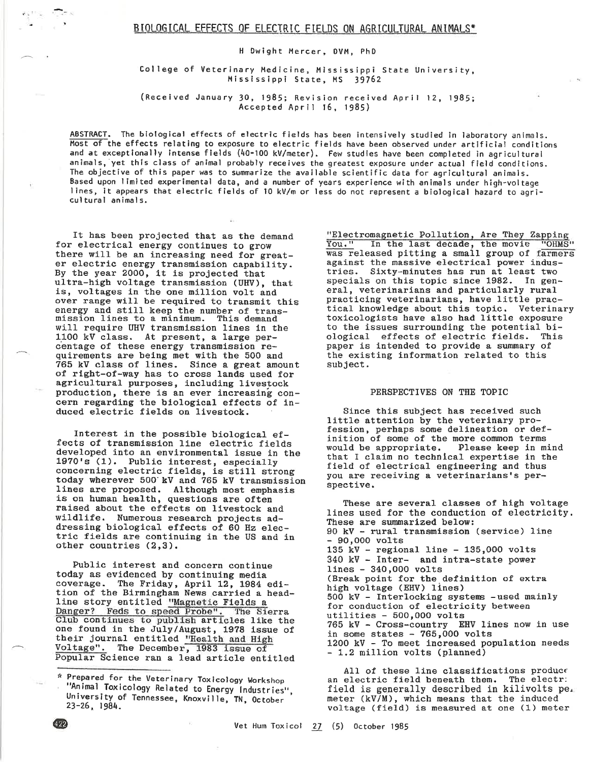# BIOLOGICAL EFFECTS OF ELECTRIC FIELDS ON AGRICULTURAL ANIMALS\*

H Dwight Mercer, OVM, PhD

College of Veterinary Medicine, Mississippi State University, Mississippi State, MS 39762

(Received January 30, 1985; Revision received April 12, 1985; Accepted April 16, 1985)

ABSTRACT. The biological effects of electric fields has been intensively studied in laboratory animals. Most of the effects relating to exposure to electric fields have been observed under artificial conditions and at exceptionally intense fields (40-100 kV/meter). Few studies have been completed in agricultural animals, yet this class of animal probably receives the greatest exposure under actual field conditions. The objective of this paper was to summarize the available scientific data for agricultural animals. Based upon limited experimental data, and a number of years experience with animals under high-voltage lines, it appears that electric fields of 10 kV/m or less do not represent a biological hazard to agricultural animals.

It has been projected that as the demand for electrical energy continues to grow there will be an increasing need for greater electric energy transmission capability.<br>By the year 2000, it is projected that ultra-high voltage transmission (UHV), that is, voltages in the one million volt and over range will be required to transmit this energy and still keep the number of trans-<br>mission lines to a minimum. This demand will require UHV transmission lines in the 1100 kV class. At present, a large percentage of these energy transmission requirements are being met with the 500 and 765 kV class of lines. Since a great amount of right-of-way has to cross lands used for agricultural purposes, including livestock production, there is an ever increasing concern regarding the biological effects of induced electric fields on livestock.

Interest in the possible biological effects of transmission line electric fields developed into an environmental issue in the 1970's (1). Public interest, especially concerning electric fields, is still strong today wherever 500 kV and 765 kV transmission lines are proposed. Although most emphasis is on human health, questions are often raised about the effects on livestock and wildlife. Numerous research projects addressing biological effects of 60 Hz electric fields are continuing in the US and in other countries (2,3).

Public interest and concern continue today as evidenced by continuing media coverage. The Friday, April 12, 1984 edi-<br>tion of the Birmingham News carried a headline story entitled "Magnetic Fields a<br>Danger? Feds to speed Probe". The Sierra Club continues to publish articles like the one found in the July/August, 1978 issue of their journal entitled "Health and High Voltage". The December, 1983 issue of Popular Science ran a lead article entitled "Electromagnetic Pollution, Are They Zapping<br>You." In the last decade, the movie "OHMS"<br>was released pitting a small group of farmers against the massive electrical power industries. Sixty-minutes has run at least two specials on this topic since 1982. In general, veterinarians and particularly rural practicing veterinarians, have little practical knowledge about this topic. Veterinary toxicologists have also had little exposure to the issues surrounding the potential biological effects of electric fields. This paper is intended to provide a summary of the existing information related to this subject.

### PERSPECTIVES ON THE TOPIC

Since this subject has received such little attention by the veterinary profession, perhaps some delineation or definition of some of the more common terms Please keep in mind would be appropriate. that I claim no technical expertise in the field of electrical engineering and thus you are receiving a veterinarians's perspective.

These are several classes of high voltage lines used for the conduction of electricity. These are summarized below: 90 kV - rural transmission (service) line - 90,000 volts 135 kV - regional line -  $135,000$  volts 340 kV - Inter- and intra-state power  $lines - 340,000 volts$ (Break point for the definition of extra high voltage (EHV) lines) 500 kV - Interlocking systems - used mainly for conduction of electricity between utilities - 500,000 volts 765 kV - Cross-country EHV lines now in use in some states -  $765,000$  volts 1200 kV - To meet increased population needs - 1.2 million volts (planned)

All of these line classifications produce an electric field beneath them. The electr: field is generally described in kilivolts pe. meter (kV/M), which means that the induced voltage (field) is measured at one (1) meter

 $422$ 

<sup>\*</sup> Prepared for the Veterinary Toxicology Workshop "Animal Toxicology Related to Energy Industries", University of Tennessee, Knoxville, TN, October 23-26, 1984.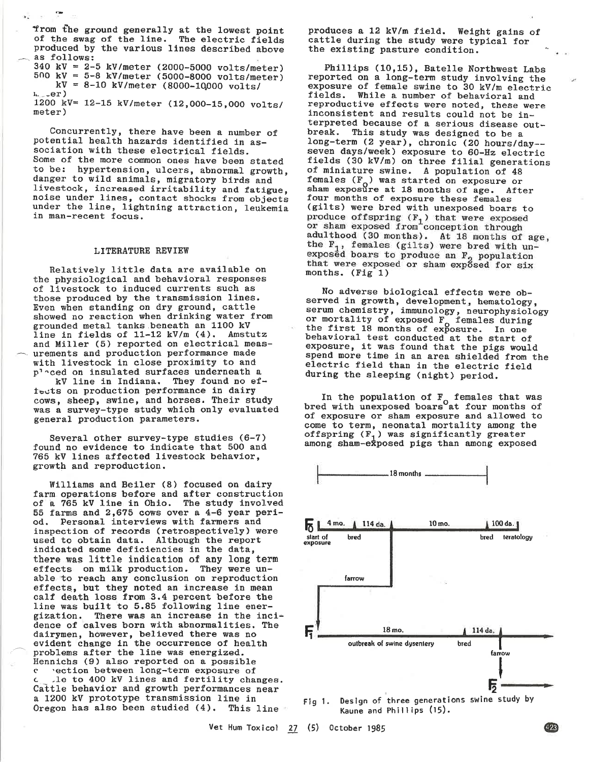from the ground generally at the lowest point of the swag of the line. The electric fields produced by the various lines described above as follows:

340 kV = 2-5 kV/meter (2000-5000 volts/meter)<br>500 kV = 5-8 kV/meter (5000-8000 volts/meter)  $kV = 8-10$  kV/meter (8000-10000 volts/  $i_{\cdots}$  .  $er$  )

-

1200 kV= 12-15 kV/meter (12,000-15,000 volts/<br>meter)

Concurrently, there have been a number of potential health hazards identified in as-sociation with these electrical fields. Some of the more common ones have been stated<br>to be: hypertension, ulcers, abnormal growth,<br>danger to wild animals, migratory birds and livestock, increased irritability and fatigue, noise under lines, contact shocks from objects under the line, lightning attraction, leukemia in man-recent focus.

### LITERATURE REVIEW

BelativeLy 1itt1e data are available on the physioLogical and behavioral responses of livestock to induced currents such as tbose produced by the transmlssion Lines. Even when standing on dry ground, cattle showed no reaction when drinking water from grounded metal tanks beneath an 1100 kV<br>line in fields of 11-12 kV/m (4). Amstutz line in fields of  $11-12$  kV/m  $(4)$ . and Miller (5) reported on electrical meas- ^.urements and production performance made with livestoek in close proximlty to and p<sup>1</sup> ced on insulated surfaces underneath a kV line in Indiana. They found no eftests on production performance 1n dairy cows, sheep, swlne, and horses. Their study was a survey-type study which only evaluated general production parameters.

Several other survey-type studles (6-7) found no evidence to indicate that 500 and 765 kV 1lnes affected llvestock behavior, growtb and reproduction.

Wllllams and Beller (8) focused on daíry farm operations before and after construction<br>of a 765 kV line in Ohio. The study involved 55 farms and  $2,675$  cows over a 4-6 year period. Personal interviews with farmers and inspeetion of records (retrospectively) were used to obtain data. Although the report indicated some deficiencies in the data, there was little indication of any long term<br>effects on milk production. They were unable to reach any conclusion on reproduction effects, but they noted an increase in mean calf death loss from 3.4 percent before the line was built to 5.85 following line ener-<br>gization. There was an increase in the incidence of calves born with abnormalities. The dairymen, however, believed there was no evident change in the occurrence of health problems after the line was energized. Hennicbs (9) also reported on a possible

c rection between long-term exposure of Le to 400 kV lines and fertility changes. Cattle behavior and growth performances near a 1200 kV prototype transmission line in Oregon has also been studied (4). This line

produces a 12 kV/m field. Weight gains of cattle during the study were typical for<br>the existing pasture condition.

Phillips (10,15), Batelle Northwest Labs<br>reported on a long-term study involving the<br>exposure of female swine to 30 kV/m electric fields. While a number of behavioral and<br>reproductive effects were noted, these were<br>inconsistent and results could not be in-<br>terpreted because of a serious disease out-<br>break. This study was designed to be a long-term (2 year), chronic (20 hours/day--<br>seven days/week) exposure to 60-Hz electric fields (30 kV/m) on three filial generations of miniature swine. A population of 48 females  $(F_0)$  was started on exposure or sham exposure at 18 months of age. After four months of exposure these females (gilts) were bred with unexposed boars to produce offspring  $(F_1)$  that were exposed<br>or sham exposed from conception through<br>adulthood (30 months). At 18 months of age,<br>the  $F_1$ , females (gilts) were bred with un-<br>exposed boars to produce an  $F_2$  population<br>tha

No adverse biological effects were ob-<br>served in growth, development, hematology, serum chemistry, immunology, neurophysiology or mortality of exposed F<sub>o</sub> females during the first 18 months of exposure. In one behavioral test conducted at the start of behavioral test conducted at the start of exposure, it was found that the pigs would spend more time in an area shielded from the electric field than in the electric field during the sleeping (night) period.

In the population of  $F_{\alpha}$  females that was bred with unexposed boars<sup>o</sup>at four months of exposure or sham exposure and allowed to of exposure or sham exposure and allowed to<br>come to term, neonatal mortality among the<br>offspring  $(F_1)$  was significantly greater among sham-exposed pigs than among exposed

l8 months



Flg 1. Deslgn of three generations swine study by Kaune and Phillips  $(15)$ .

Vet Hum Toxicol  $\frac{27}{5}$  (5) October 1985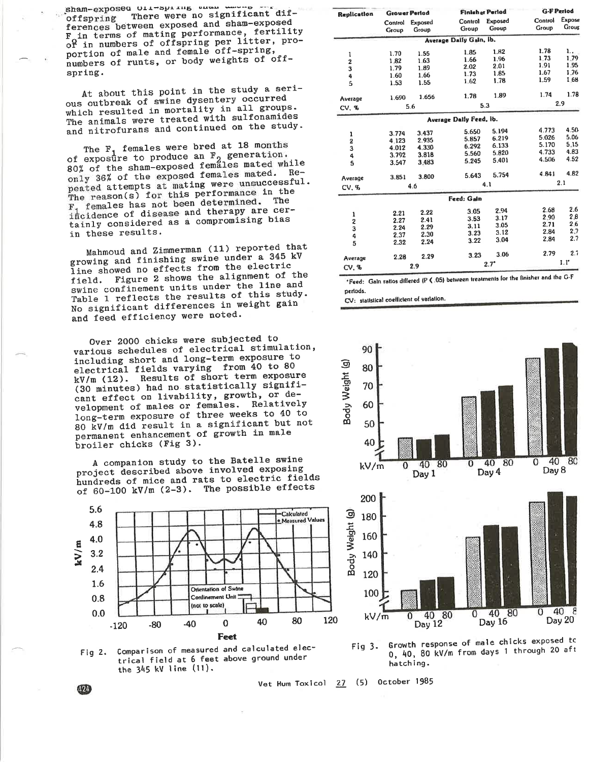spam-exbosed orr-shring ener energy There were no significant difoffspring ferences between exposed and sham-exposed F in terms of mating performance, fertility<br>of in numbers of offspring per litter, proportion of male and female off-spring, numbers of runts, or body weights of offspring.

At about this point in the study a serious outbreak of swine dysentery occurred which resulted in mortality in all groups. The animals were treated with sulfonamides and nitrofurans and continued on the study.

The F<sub>1</sub> females were bred at 18 months of exposure to produce an F<sub>2</sub> generation.<br>80% of the sham-exposed females mated while only 36% of the exposed females mated. Repeated attempts at mating were unsuccessful. The reason(s) for this performance in the  $F_1$  females has not been determined. The incidence of disease and therapy are certainly considered as a compromising bias in these results.

Mahmoud and Zimmerman (11) reported that growing and finishing swine under a 345 kV line showed no effects from the electric field. Figure 2 shows the alignment of the swine confinement units under the line and Table 1 reflects the results of this study. No significant differences in weight gain and feed efficiency were noted.

Over 2000 chicks were subjected to various schedules of electrical stimulation, including short and long-term exposure to electrical fields varying from 40 to 80 Results of short term exposure  $kV/m (12)$ . (30 minutes) had no statistically significant effect on livability, growth, or development of males or females. Relatively long-term exposure of three weeks to 40 to 80 kV/m did result in a significant but not permanent enhancement of growth in male broiler chicks (Fig 3).

A companion study to the Batelle swine project described above involved exposing hundreds of mice and rats to electric fields of 60-100 kV/m (2-3). The possible effects





**G-F Period Finlaher Period** Replication **Grower Perlod** Expose Control Exposed Control Control Exposed Group Group Group Group Group Group Average Dally Gain, ib.  $1.82$ 1.78 1.85 1.70 1.55  $1,79$  $1,73$ 1.96 1.82 1.63 1.66  $\overline{2}$ 1.91 2.01 1.95 2.02 1.79 1.89  $\overline{\mathbf{3}}$ 1.67 1.76 1.85 1.73 1.60 1.66 4 1.59 1.68 1.78 1.62 1.53 1.55 5 1.74 1.78 1.78 1.89 1.690 1.656 Average 2.9 5.3  $5.6$  $CV, <sub>4</sub>$ Average Dally Feed, ib. 4.773 4.50 5.650 5.194 3.437 3.774  $\mathbf{1}$ 5.026 5.06 6.219  $4.123$ 2.935 5.857  $\overline{2}$ 5.170  $5,15$ 6.133 4.012 4.330 6.292  $\overline{3}$ 4.733 4 R3 5.820 3.818 5.560 3.792 4 4.506 4.52 5.401 5.245  $\ddot{\mathbf{s}}$ 3.547 3,483 4.82 4 R41 5.754 5.643 3.800 Average 3.851  $2.1$  $4.1$  $4.6$ **CV. %** Feed: Gain 2.94 2.68 2.6 3.05 992  $2.21$  $\mathbf{1}$  $2.8$  $2.90$  $3.17$ 3.53 2.27 2.41  $\mathbf 2$ 2.71  $2.6$  $2.29$  $3.11$ 3.05  $\overline{\mathbf{3}}$ 2.24 2.84  $2.7$  $2.37$ 2.30  $3.23$ 3.12 4  $2.7$ 2.84 3.22  $3.04$ 2.24 2.32 5  $2.7$ 2.79 3.06 3.23 2.29 2.28 Average  $1.1^{\circ}$  $2.7^{\circ}$  $2.9$ CV. %

\*Feed: Gain ratios differed (P (.05) between treatments for the finisher and the G-F periods.

CV: statistical coefficient of variation.



Growth response of male chicks exposed to Fig  $3.$ 0, 40, 80 kV/m from days 1 through 20 aft hatching.

Vet Hum Toxicol 27 (5) October 1985

Ø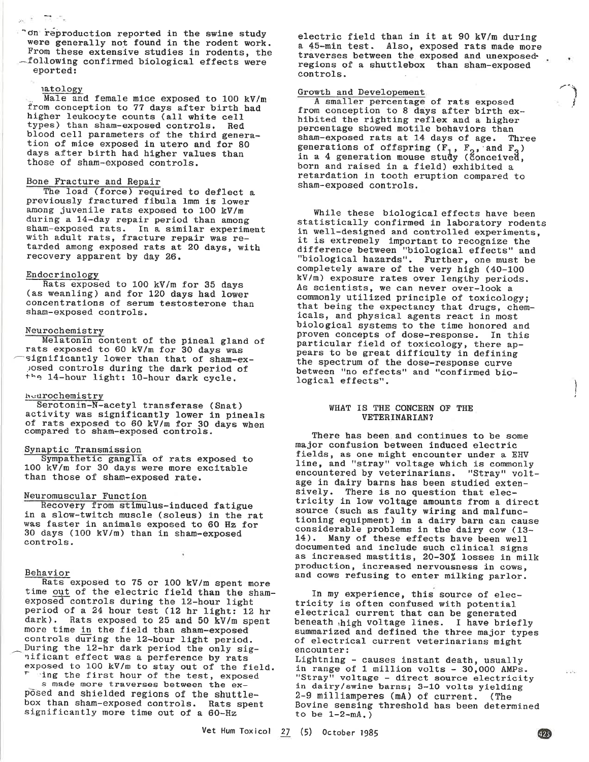Ton reproduction reported in the swine study were generally not found in the rodent work. From these extensive studies in rodents, the -following confirmed biological effects were eported:

natology<br>Male and female mice exposed to 100 kV/m from conception to 77 days after birth had<br>higher leukocyte counts (all white cell<br>types) than sham-exposed controls. Red<br>blood cell parameters of the third genera-<br>tion of mice exposed in utero and for 80 days after birth had higher values than those of sham-exposed controls.

# Bone Fracture and Repair

The load (force) required to deflect a previously fractured fibula lmm is lower<br>among juvenile rats exposed to 100 kV/m during a 14-day repair period than among sham-exposed rats. In a similar experiment<br>with adult rats, fracture repair was re-<br>tarded among exposed rats at 20 days, with recovery apparent by day 26.

Endocrinology<br>Rats exposed to 100 kV/m for 35 days (as weanling) and for 120 days had lower<br>concentrations of serum testosterone than sham-exposed controls.

# Neurochemistry

Melatonin content of the pineal gland of rats exposed to 60 kV/m for 30 days was significantly lower than that of sham-ex-<br>posed controls during the dark period of the 14-hour light: 10-hour dark cycle.

### heurochemistry

Serotonin-N-acetyl transferase (Snat) activity was significantly lower in pineals of rats exposed to 60 kV/m for 30 days when compared to sham-exposed controls.

# Synaptic Transmission

Sympathetic ganglia of rats exposed to 1OO kV/m for 3O days were more excltable than those of sham-exposed rate.

Neuromuscular Function<br>Recovery from stimulus-induced fatigue in a slow-twitch muscle (soleus) in the rat<br>was faster in animals exposed to 60 Hz for 30 days (100 kV/m) than in sham-exposed controls.

Behavior<br>Rats exposed to 75 or 100 kV/m spent more time out of the electric field than the sham-exposed controls during the 12-hour light period of a 24 hour test (12 hr light: 12 hr dark). Rats exposed to 25 and 50 kV/m spent more time in the field than sham-exposed controls during the 12-hour light period. During the 12-hr dark period the only sig-<br>'lificant effect was a perference by rats

exposed to 100 kV/m to stay out of the field.<br> $\overline{r}$  ing the first hour of the test, exposed<br>s made more traverses between the exposed and shielded regions of the shuttle-<br>box than sham-exposed controls. Rats spent<br>significantly more time out of a 60-Hz

electric field than in it at 90 kV/m during a 45-min test. Also, exposed rats made more traverses between the exposed and unexposed.<br>regions of a shuttlebox than sham-exposed. controls

> ,-.\ I **}**

> > ì i

Growth and Developement<br>A smaller percentage of rats exposed from conception to 8 days after birth ex-<br>hibited the righting reflex and a higher<br>percentage showed motile behaviors than<br>sham-exposed rats at 14 days of age. Three generations of offspring  $(F_1, F_2, \text{and } F_3)$  in a 4 generation mouse study (conceived, born and raised in a field) exhibited a retardation in tooth eruption compared to sham-exposed controls.

While these biological effects have been<br>statistically confirmed in laboratory rodents<br>in well-designed and controlled experiments,<br>it is extremely important to recognize the<br>difference between "biological effects" and<br>"bi kV/n) exposure rates over lengthy periods. As scientists, we can never over-look a<br>commonly utilized principle of toxicology; that being the expectancy that drugs, chem-<br>icals, and physical agents react in most<br>biological systems to the time honored and<br>proven concepts of dose-response. In this particular field of toxicology, there ap-<br>pears to be great difficulty in defining the spectrum of the dose-response curve between "no effects" and "confirmed bio-<br>logical effects".

## WHAT IS THE CONCERN OF THE VETEBINABIAN?

There has been and continues to be some major confusion between induced electric fields, as one might encounter under a EHV<br>line, and "stray" voltage which is commonly encountered by veterinarians. "Stray" volt-<br>age in dairy barns has been studied extensively. There is no question that elec-<br>tricity in low voltage amounts from a direct<br>source (such as faulty wiring and malfunctioning equipment) in a dairy barn can cause<br>considerable problems in the dairy cow (13-<br>14). Many of these effects have been well documented and include such clinical signs<br>as increased mastitis, 20-30% losses in milk production, increased nervousness in cows, and cows refusing to enter milking parlor.

In my experience, this source of elec-<br>tricity is often confused with potential<br>electrical current that can be generated beneath,high voltage 1ines. I have briefly summarized and defined the three major types<br>of electrical current veterinarians might

encounter:<br>Lightning - causes instant death, usually in range of 1 million volts - 30,000 AMPs.<br>"Stray" voltage - direct source electricity<br>in dairy/swine barns; 3-10 volts yielding 2-9 milllanperes (mA) of current, (The Bovine sensing threshold has been determined to be  $1-2-mA$ .)